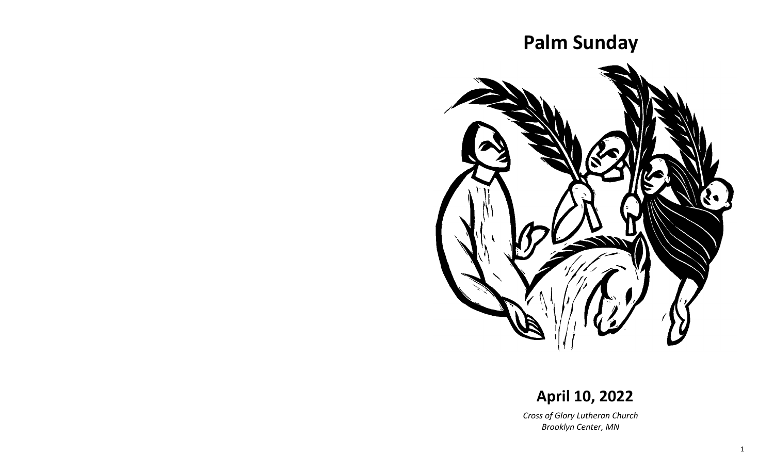



# **April 10, 2022**

*Cross of Glory Lutheran Church Brooklyn Center, MN*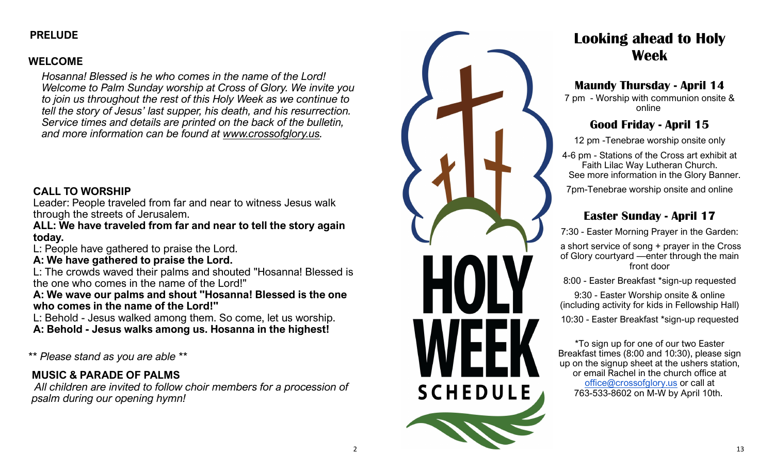# **PRELUDE**

#### **WELCOME**

*Hosanna! Blessed is he who comes in the name of the Lord! Welcome to Palm Sunday worship at Cross of Glory. We invite you to join us throughout the rest of this Holy Week as we continue to tell the story of Jesus' last supper, his death, and his resurrection. Service times and details are printed on the back of the bulletin, and more information can be found at [www.crossofglory.us](http://www.crossofglory.us) .*

#### **CALL TO WORSHIP**

Leader: People traveled from far and near to witness Jesus walk through the streets of Jerusalem.

#### **ALL: We have traveled from far and near to tell the story again today.**

L: People have gathered to praise the Lord.

# **A: We have gathered to praise the Lord.**

L: The crowds waved their palms and shouted "Hosanna! Blessed is the one who comes in the name of the Lord!"

#### **A: We wave our palms and shout "Hosanna! Blessed is the one who comes in the name of the Lord!"**

L: Behold - Jesus walked among them. So come, let us worship.

**A: Behold - Jesus walks among us. Hosanna in the highest!**

*\*\* Please stand as you are able \*\**

# **MUSIC & PARADE OF PALMS**

*All children are invited to follow choir members for a procession of psalm during our opening hymn!*



# **Looking ahead to Holy Week**

# **Maundy Thursday - April 14**

7 pm - Worship with communion onsite & online

# **Good Friday - April 15**

12 pm -Tenebrae worship onsite only

4 -6 pm - Stations of the Cross art exhibit at Faith Lilac Way Lutheran Church. See more information in the Glory Banner.

7pm -Tenebrae worship onsite and online

# **Easter Sunday - April 17**

7:30 - Easter Morning Prayer in the Garden:

a short service of song + prayer in the Cross of Glory courtyard —enter through the main front door

8:00 - Easter Breakfast \*sign -up requested

9:30 - Easter Worship onsite & online (including activity for kids in Fellowship Hall)

10:30 - Easter Breakfast \*sign -up requested

\*To sign up for one of our two Easter Breakfast times (8:00 and 10:30), please sign up on the signup sheet at the ushers station, or email Rachel in the church office at [office@crossofglory.us](mailto:office@crossofglory.us) or call at 763 -533 -8602 on M -W by April 10th.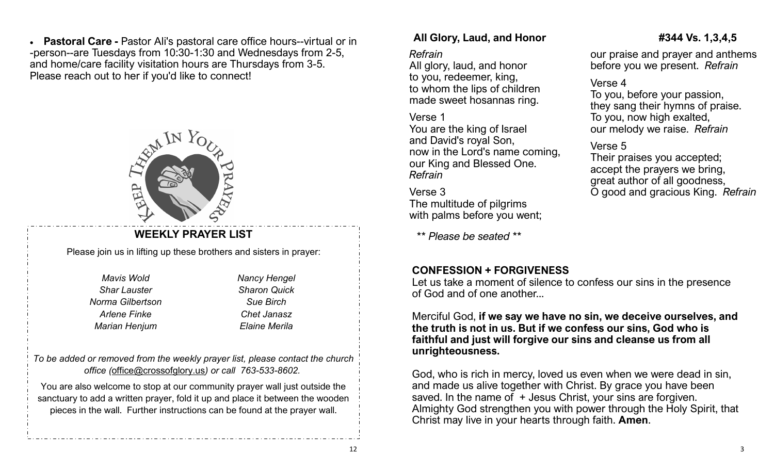• **Pastoral Care -** Pastor Ali's pastoral care office hours--virtual or in -person--are Tuesdays from 10:30-1:30 and Wednesdays from 2-5, and home/care facility visitation hours are Thursdays from 3-5. Please reach out to her if you'd like to connect!



# **WEEKLY PRAYER LIST**

Please join us in lifting up these brothers and sisters in prayer:

*Mavis Wold Shar Lauster Norma Gilbertson Arlene Finke Marian Henjum*

*Nancy Hengel Sharon Quick Sue Birch Chet Janasz Elaine Merila*

*To be added or removed from the weekly prayer list, please contact the church office (*[office@crossofglory.us](mailto:office@crossofglory.us)*) or call 763-533-8602.*

You are also welcome to stop at our community prayer wall just outside the sanctuary to add a written prayer, fold it up and place it between the wooden pieces in the wall. Further instructions can be found at the prayer wall.

### **All Glory, Laud, and Honor #344 Vs. 1,3,4,5**

#### *Refrain*

All glory, laud, and honor to you, redeemer, king, to whom the lips of children made sweet hosannas ring.

Verse 1

You are the king of Israel and David's royal Son, now in the Lord's name coming, our King and Blessed One. *Refrain*

Verse 3 The multitude of pilgrims with palms before you went;

*\*\* Please be seated \*\**

## **CONFESSION + FORGIVENESS**

Let us take a moment of silence to confess our sins in the presence of God and of one another...

Merciful God, **if we say we have no sin, we deceive ourselves, and the truth is not in us. But if we confess our sins, God who is faithful and just will forgive our sins and cleanse us from all unrighteousness.**

God, who is rich in mercy, loved us even when we were dead in sin, and made us alive together with Christ. By grace you have been saved. In the name of + Jesus Christ, your sins are forgiven. Almighty God strengthen you with power through the Holy Spirit, that Christ may live in your hearts through faith. **Amen**.

our praise and prayer and anthems before you we present. *Refrain*

#### Verse 4

To you, before your passion, they sang their hymns of praise. To you, now high exalted, our melody we raise. *Refrain*

#### Verse 5

Their praises you accepted; accept the prayers we bring, great author of all goodness, O good and gracious King. *Refrain*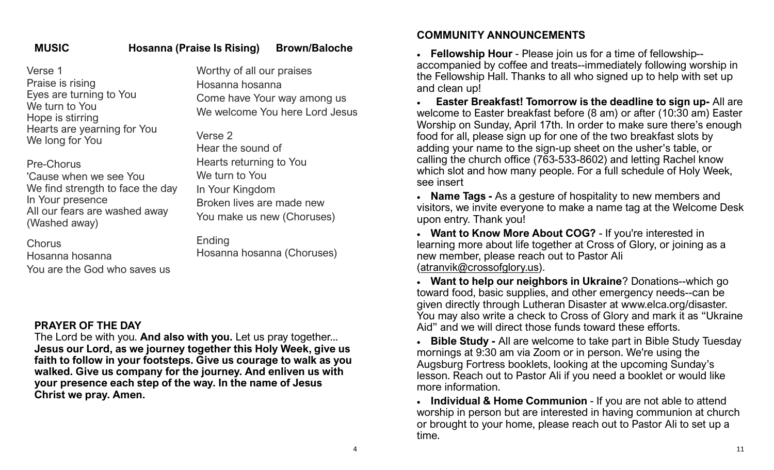# **MUSIC Hosanna (Praise Is Rising) Brown/Baloche**

Verse 1 Praise is rising Eyes are turning to You We turn to You Hope is stirring Hearts are yearning for You We long for You

#### Pre-Chorus

'Cause when we see You We find strength to face the day In Your presence All our fears are washed away (Washed away)

#### **Chorus**

Hosanna hosanna You are the God who saves us Worthy of all our praises Hosanna hosanna Come have Your way among us We welcome You here Lord Jesus

Verse 2 Hear the sound of Hearts returning to You We turn to You In Your Kingdom Broken lives are made new You make us new (Choruses)

Ending Hosanna hosanna (Choruses)

#### **PRAYER OF THE DAY**

The Lord be with you. **And also with you.** Let us pray together... **Jesus our Lord, as we journey together this Holy Week, give us faith to follow in your footsteps. Give us courage to walk as you walked. Give us company for the journey. And enliven us with your presence each step of the way. In the name of Jesus Christ we pray. Amen.**

#### **COMMUNITY ANNOUNCEMENTS**

• **Fellowship Hour** - Please join us for a time of fellowship- accompanied by coffee and treats--immediately following worship in the Fellowship Hall. Thanks to all who signed up to help with set up and clean up!

• **Easter Breakfast! Tomorrow is the deadline to sign up-** All are welcome to Easter breakfast before (8 am) or after (10:30 am) Easter Worship on Sunday, April 17th. In order to make sure there's enough food for all, please sign up for one of the two breakfast slots by adding your name to the sign-up sheet on the usher's table, or calling the church office (763-533-8602) and letting Rachel know which slot and how many people. For a full schedule of Holy Week, see insert

• **Name Tags -** As a gesture of hospitality to new members and visitors, we invite everyone to make a name tag at the Welcome Desk upon entry. Thank you!

• **Want to Know More About COG?** - If you're interested in learning more about life together at Cross of Glory, or joining as a new member, please reach out to Pastor Ali ([atranvik@crossofglory.us\)](mailto:atranvik@crossofglory.us).

• **Want to help our neighbors in Ukraine**? Donations--which go toward food, basic supplies, and other emergency needs--can be given directly through Lutheran Disaster at www.elca.org/disaster. You may also write a check to Cross of Glory and mark it as "Ukraine Aid" and we will direct those funds toward these efforts.

• **Bible Study -** All are welcome to take part in Bible Study Tuesday mornings at 9:30 am via Zoom or in person. We're using the Augsburg Fortress booklets, looking at the upcoming Sunday's lesson. Reach out to Pastor Ali if you need a booklet or would like more information.

• **Individual & Home Communion** - If you are not able to attend worship in person but are interested in having communion at church or brought to your home, please reach out to Pastor Ali to set up a time.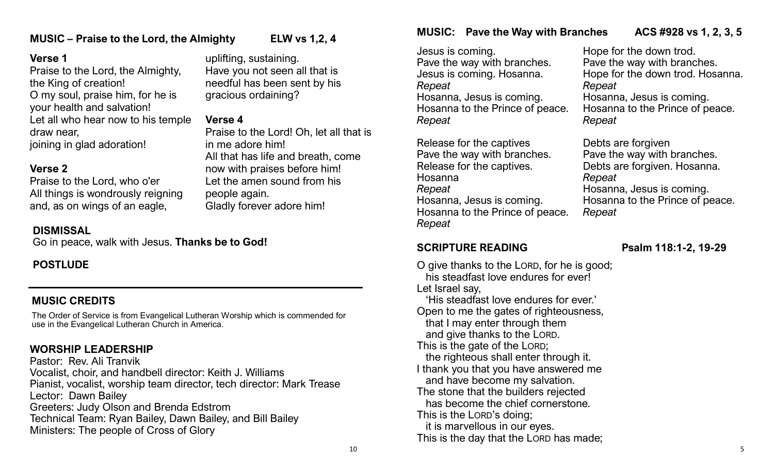**MUSIC – Praise to the Lord, the Almighty ELW vs 1,2, 4**

#### **Verse 1**

Praise to the Lord, the Almighty, the King of creation! O my soul, praise him, for he is your health and salvation! Let all who hear now to his temple draw near, joining in glad adoration!

#### **Verse 2**

Praise to the Lord, who o'er All things is wondrously reigning and, as on wings of an eagle,

#### **DISMISSAL**

Go in peace, walk with Jesus. **Thanks be to God!**

# **POSTLUDE**

# **MUSIC CREDITS**

The Order of Service is from Evangelical Lutheran Worship which is commended for use in the Evangelical Lutheran Church in America.

uplifting, sustaining.

gracious ordaining?

in me adore him!

people again.

**Verse 4**

Have you not seen all that is needful has been sent by his

Praise to the Lord! Oh, let all that is

All that has life and breath, come

now with praises before him! Let the amen sound from his

Gladly forever adore him!

## **WORSHIP LEADERSHIP**

Pastor: Rev. Ali Tranvik Vocalist, choir, and handbell director: Keith J. Williams Pianist, vocalist, worship team director, tech director: Mark Trease Lector: Dawn Bailey Greeters: Judy Olson and Brenda Edstrom Technical Team: Ryan Bailey, Dawn Bailey, and Bill Bailey Ministers: The people of Cross of Glory

#### **MUSIC: Pave the Way with Branches ACS #928 vs 1, 2, 3, 5**

Jesus is coming. Pave the way with branches. Jesus is coming. Hosanna. *Repeat* Hosanna, Jesus is coming. Hosanna to the Prince of peace. *Repeat*

Release for the captives Pave the way with branches. Release for the captives. Hosanna *Repeat* Hosanna, Jesus is coming. Hosanna to the Prince of peace. *Repeat*

## **SCRIPTURE READING Psalm 118:1-2, 19-29**

O give thanks to the LORD, for he is good; his steadfast love endures for ever! Let Israel say,

 'His steadfast love endures for ever.' Open to me the gates of righteousness, that I may enter through them and give thanks to the LORD.

This is the gate of the LORD;

the righteous shall enter through it.

- I thank you that you have answered me and have become my salvation.
- The stone that the builders rejected

has become the chief cornerstone.

This is the LORD's doing;

it is marvellous in our eyes.

This is the day that the LORD has made;

Hope for the down trod. Pave the way with branches. Hope for the down trod. Hosanna. *Repeat* Hosanna, Jesus is coming. Hosanna to the Prince of peace. *Repeat*

Debts are forgiven Pave the way with branches. Debts are forgiven. Hosanna. *Repeat* Hosanna, Jesus is coming. Hosanna to the Prince of peace. *Repeat*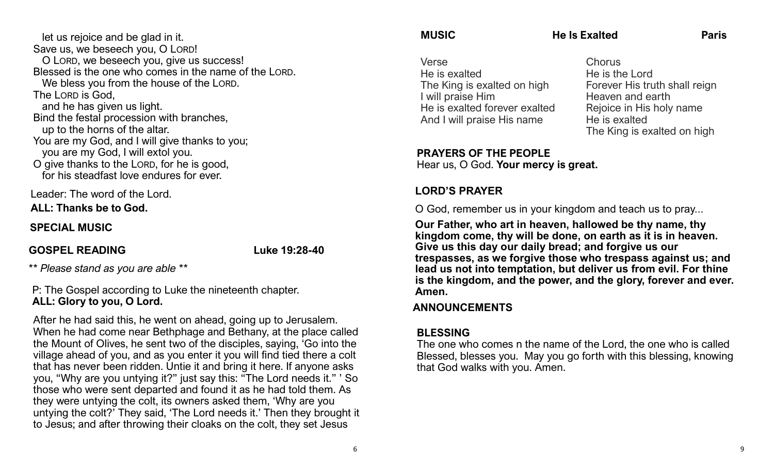let us rejoice and be glad in it. Save us, we beseech you, O LORD! O LORD, we beseech you, give us success! Blessed is the one who comes in the name of the LORD. We bless you from the house of the LORD. The LORD is God, and he has given us light. Bind the festal procession with branches, up to the horns of the altar. You are my God, and I will give thanks to you; you are my God, I will extol you. O give thanks to the LORD, for he is good, for his steadfast love endures for ever.

Leader: The word of the Lord. **ALL: Thanks be to God.**

## **SPECIAL MUSIC**

## **GOSPEL READING Luke 19:28-40**

*\*\* Please stand as you are able \*\**

P: The Gospel according to Luke the nineteenth chapter. **ALL: Glory to you, O Lord.**

After he had said this, he went on ahead, going up to Jerusalem. When he had come near Bethphage and Bethany, at the place called the Mount of Olives, he sent two of the disciples, saying, 'Go into the village ahead of you, and as you enter it you will find tied there a colt that has never been ridden. Untie it and bring it here. If anyone asks you, "Why are you untying it?" just say this: "The Lord needs it." ' So those who were sent departed and found it as he had told them. As they were untying the colt, its owners asked them, 'Why are you untying the colt?' They said, 'The Lord needs it.' Then they brought it to Jesus; and after throwing their cloaks on the colt, they set Jesus

**MUSIC He Is Exalted Paris**

Verse He is exalted The King is exalted on high I will praise Him He is exalted forever exalted And I will praise His name

**Chorus** He is the Lord Forever His truth shall reign Heaven and earth Rejoice in His holy name He is exalted The King is exalted on high

# **PRAYERS OF THE PEOPLE**

Hear us, O God. **Your mercy is great.**

# **LORD'S PRAYER**

O God, remember us in your kingdom and teach us to pray...

**Our Father, who art in heaven, hallowed be thy name, thy kingdom come, thy will be done, on earth as it is in heaven. Give us this day our daily bread; and forgive us our trespasses, as we forgive those who trespass against us; and lead us not into temptation, but deliver us from evil. For thine is the kingdom, and the power, and the glory, forever and ever. Amen.**

## **ANNOUNCEMENTS**

## **BLESSING**

The one who comes n the name of the Lord, the one who is called Blessed, blesses you. May you go forth with this blessing, knowing that God walks with you. Amen.